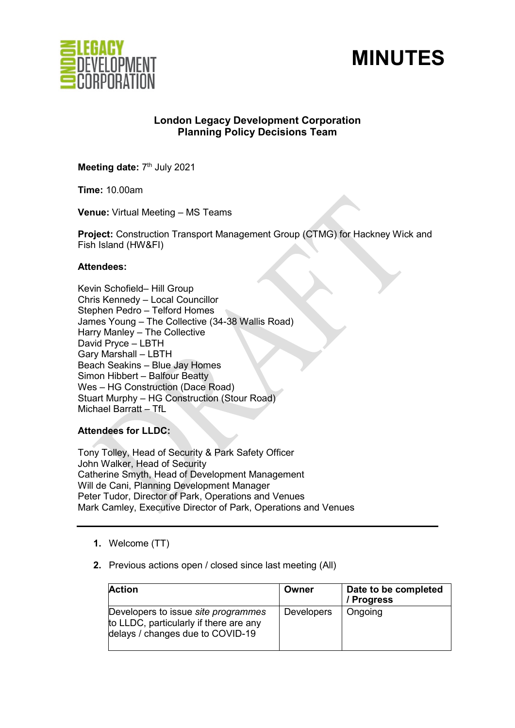



# **London Legacy Development Corporation Planning Policy Decisions Team**

**Meeting date: 7<sup>th</sup> July 2021** 

**Time:** 10.00am

**Venue:** Virtual Meeting – MS Teams

**Project:** Construction Transport Management Group (CTMG) for Hackney Wick and Fish Island (HW&FI)

### **Attendees:**

Kevin Schofield– Hill Group Chris Kennedy – Local Councillor Stephen Pedro – Telford Homes James Young – The Collective (34-38 Wallis Road) Harry Manley – The Collective David Pryce – LBTH Gary Marshall – LBTH Beach Seakins – Blue Jay Homes Simon Hibbert – Balfour Beatty Wes – HG Construction (Dace Road) Stuart Murphy – HG Construction (Stour Road) Michael Barratt – TfL

**Attendees for LLDC:** 

Tony Tolley, Head of Security & Park Safety Officer John Walker, Head of Security Catherine Smyth, Head of Development Management Will de Cani, Planning Development Manager Peter Tudor, Director of Park, Operations and Venues Mark Camley, Executive Director of Park, Operations and Venues

- **1.** Welcome (TT)
- **2.** Previous actions open / closed since last meeting (All)

| <b>Action</b>                                                                                                            | Owner             | Date to be completed<br>/ Progress |
|--------------------------------------------------------------------------------------------------------------------------|-------------------|------------------------------------|
| Developers to issue <i>site programmes</i><br>to LLDC, particularly if there are any<br>delays / changes due to COVID-19 | <b>Developers</b> | Ongoing                            |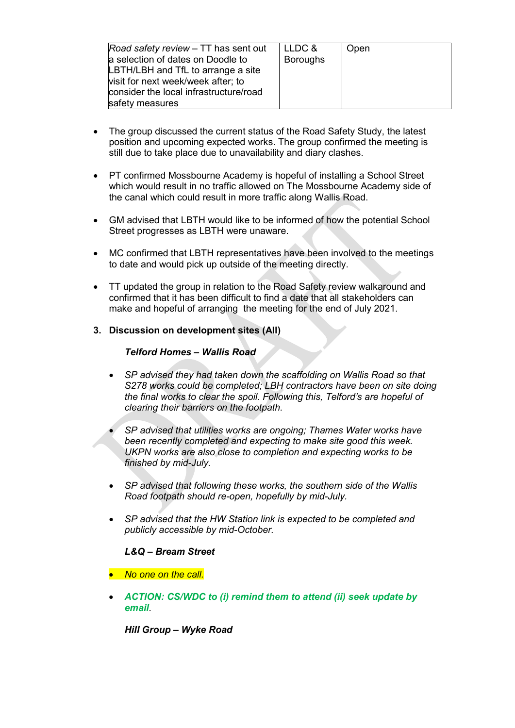| Road safety review – TT has sent out<br>a selection of dates on Doodle to<br>LBTH/LBH and TfL to arrange a site<br>visit for next week/week after; to<br>consider the local infrastructure/road | LLDC &<br><b>Boroughs</b> | Open |
|-------------------------------------------------------------------------------------------------------------------------------------------------------------------------------------------------|---------------------------|------|
| safety measures                                                                                                                                                                                 |                           |      |

- The group discussed the current status of the Road Safety Study, the latest position and upcoming expected works. The group confirmed the meeting is still due to take place due to unavailability and diary clashes.
- PT confirmed Mossbourne Academy is hopeful of installing a School Street which would result in no traffic allowed on The Mossbourne Academy side of the canal which could result in more traffic along Wallis Road.
- GM advised that LBTH would like to be informed of how the potential School Street progresses as LBTH were unaware.
- MC confirmed that LBTH representatives have been involved to the meetings to date and would pick up outside of the meeting directly.
- TT updated the group in relation to the Road Safety review walkaround and confirmed that it has been difficult to find a date that all stakeholders can make and hopeful of arranging the meeting for the end of July 2021.
- **3. Discussion on development sites (All)**

# *Telford Homes – Wallis Road*

• *SP advised they had taken down the scaffolding on Wallis Road so that S278 works could be completed; LBH contractors have been on site doing the final works to clear the spoil. Following this, Telford's are hopeful of clearing their barriers on the footpath.* 

• *SP advised that utilities works are ongoing; Thames Water works have been recently completed and expecting to make site good this week. UKPN works are also close to completion and expecting works to be finished by mid-July.* 

- *SP advised that following these works, the southern side of the Wallis Road footpath should re-open, hopefully by mid-July.*
- *SP advised that the HW Station link is expected to be completed and publicly accessible by mid-October.*

# *L&Q – Bream Street*

- *No one on the call.*
- *ACTION: CS/WDC to (i) remind them to attend (ii) seek update by email.*

*Hill Group – Wyke Road*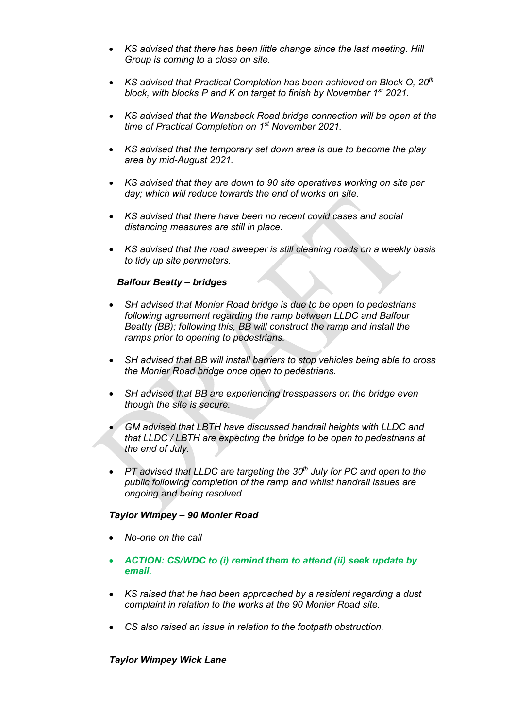- *KS advised that there has been little change since the last meeting. Hill Group is coming to a close on site.*
- *KS advised that Practical Completion has been achieved on Block O, 20th block, with blocks P and K on target to finish by November 1st 2021.*
- *KS advised that the Wansbeck Road bridge connection will be open at the time of Practical Completion on 1st November 2021.*
- *KS advised that the temporary set down area is due to become the play area by mid-August 2021.*
- *KS advised that they are down to 90 site operatives working on site per day; which will reduce towards the end of works on site.*
- *KS advised that there have been no recent covid cases and social distancing measures are still in place.*
- *KS advised that the road sweeper is still cleaning roads on a weekly basis to tidy up site perimeters.*

### *Balfour Beatty – bridges*

- *SH advised that Monier Road bridge is due to be open to pedestrians following agreement regarding the ramp between LLDC and Balfour Beatty (BB); following this, BB will construct the ramp and install the ramps prior to opening to pedestrians.*
- *SH advised that BB will install barriers to stop vehicles being able to cross the Monier Road bridge once open to pedestrians.*
- *SH advised that BB are experiencing tresspassers on the bridge even though the site is secure.*
- *GM advised that LBTH have discussed handrail heights with LLDC and that LLDC / LBTH are expecting the bridge to be open to pedestrians at the end of July.*
- *PT advised that LLDC are targeting the 30th July for PC and open to the public following completion of the ramp and whilst handrail issues are ongoing and being resolved.*

#### *Taylor Wimpey – 90 Monier Road*

- *No-one on the call*
- *ACTION: CS/WDC to (i) remind them to attend (ii) seek update by email.*
- *KS raised that he had been approached by a resident regarding a dust complaint in relation to the works at the 90 Monier Road site.*
- *CS also raised an issue in relation to the footpath obstruction.*

#### *Taylor Wimpey Wick Lane*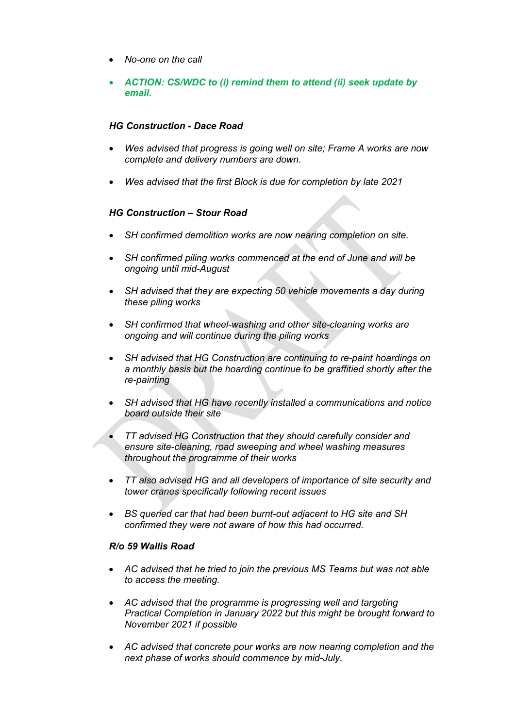- *No-one on the call*
- *ACTION: CS/WDC to (i) remind them to attend (ii) seek update by email.*

### *HG Construction - Dace Road*

- *Wes advised that progress is going well on site; Frame A works are now complete and delivery numbers are down.*
- *Wes advised that the first Block is due for completion by late 2021*

# *HG Construction – Stour Road*

- *SH confirmed demolition works are now nearing completion on site.*
- *SH confirmed piling works commenced at the end of June and will be ongoing until mid-August*
- *SH advised that they are expecting 50 vehicle movements a day during these piling works*
- *SH confirmed that wheel-washing and other site-cleaning works are ongoing and will continue during the piling works*
- *SH advised that HG Construction are continuing to re-paint hoardings on a monthly basis but the hoarding continue to be graffitied shortly after the re-painting*
- *SH advised that HG have recently installed a communications and notice board outside their site*
- *TT advised HG Construction that they should carefully consider and ensure site-cleaning, road sweeping and wheel washing measures throughout the programme of their works*
- *TT also advised HG and all developers of importance of site security and tower cranes specifically following recent issues*
- *BS queried car that had been burnt-out adjacent to HG site and SH confirmed they were not aware of how this had occurred.*

#### *R/o 59 Wallis Road*

- *AC advised that he tried to join the previous MS Teams but was not able to access the meeting.*
- *AC advised that the programme is progressing well and targeting Practical Completion in January 2022 but this might be brought forward to November 2021 if possible*
- *AC advised that concrete pour works are now nearing completion and the next phase of works should commence by mid-July.*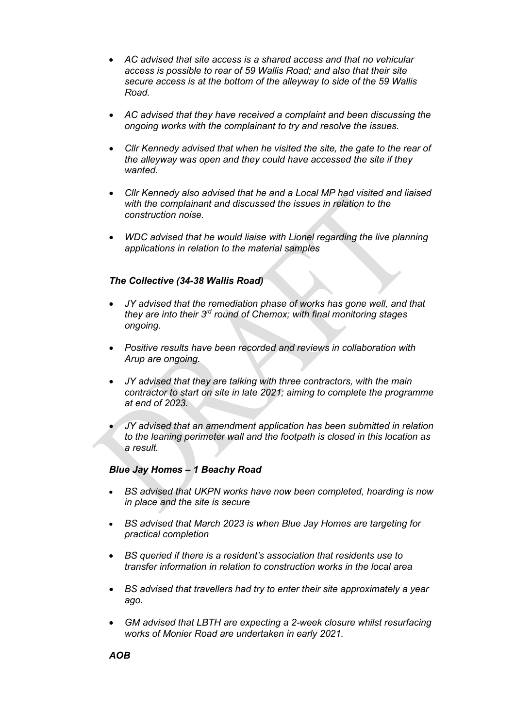- *AC advised that site access is a shared access and that no vehicular access is possible to rear of 59 Wallis Road; and also that their site secure access is at the bottom of the alleyway to side of the 59 Wallis Road.*
- *AC advised that they have received a complaint and been discussing the ongoing works with the complainant to try and resolve the issues.*
- *Cllr Kennedy advised that when he visited the site, the gate to the rear of the alleyway was open and they could have accessed the site if they wanted.*
- *Cllr Kennedy also advised that he and a Local MP had visited and liaised with the complainant and discussed the issues in relation to the construction noise.*
- *WDC advised that he would liaise with Lionel regarding the live planning applications in relation to the material samples*

# *The Collective (34-38 Wallis Road)*

- *JY advised that the remediation phase of works has gone well, and that they are into their 3rd round of Chemox; with final monitoring stages ongoing.*
- *Positive results have been recorded and reviews in collaboration with Arup are ongoing.*
- *JY advised that they are talking with three contractors, with the main contractor to start on site in late 2021; aiming to complete the programme at end of 2023.*

• *JY advised that an amendment application has been submitted in relation to the leaning perimeter wall and the footpath is closed in this location as a result.* 

# *Blue Jay Homes – 1 Beachy Road*

- *BS advised that UKPN works have now been completed, hoarding is now in place and the site is secure*
- *BS advised that March 2023 is when Blue Jay Homes are targeting for practical completion*
- *BS queried if there is a resident's association that residents use to transfer information in relation to construction works in the local area*
- *BS advised that travellers had try to enter their site approximately a year ago.*
- *GM advised that LBTH are expecting a 2-week closure whilst resurfacing works of Monier Road are undertaken in early 2021.*